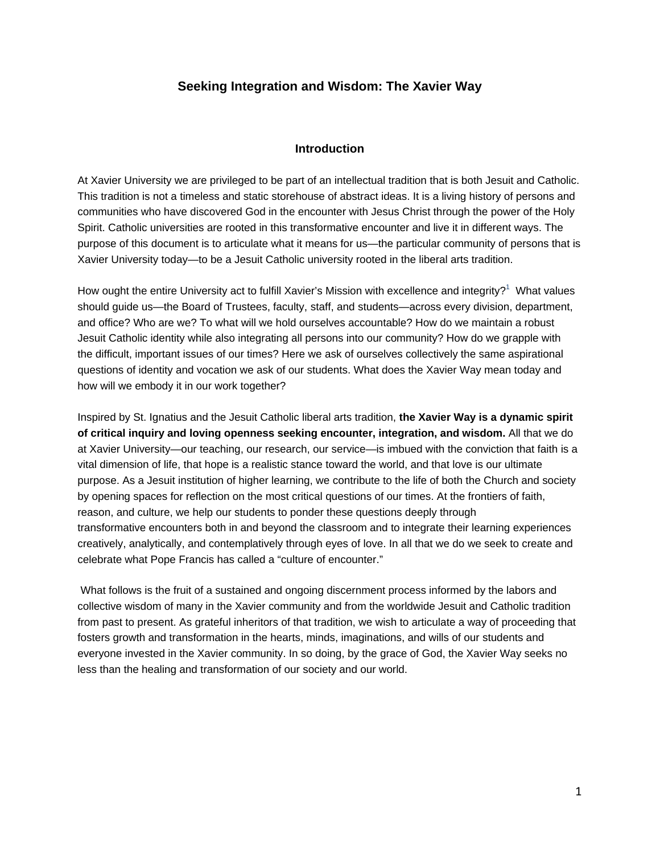# **Seeking Integration and Wisdom: The Xavier Way**

# **Introduction**

At Xavier University we are privileged to be part of an intellectual tradition that is both Jesuit and Catholic. This tradition is not a timeless and static storehouse of abstract ideas. It is a living history of persons and communities who have discovered God in the encounter with Jesus Christ through the power of the Holy Spirit. Catholic universities are rooted in this transformative encounter and live it in different ways. The purpose of this document is to articulate what it means for us—the particular community of persons that is Xavier University today—to be a Jesuit Catholic university rooted in the liberal arts tradition.

How ought the entire University act to fulfill Xavier's Mission with excellence and integrity?<sup>1</sup> What values should guide us—the Board of Trustees, faculty, staff, and students—across every division, department, and office? Who are we? To what will we hold ourselves accountable? How do we maintain a robust Jesuit Catholic identity while also integrating all persons into our community? How do we grapple with the difficult, important issues of our times? Here we ask of ourselves collectively the same aspirational questions of identity and vocation we ask of our students. What does the Xavier Way mean today and how will we embody it in our work together?

Inspired by St. Ignatius and the Jesuit Catholic liberal arts tradition, **the Xavier Way is a dynamic spirit of critical inquiry and loving openness seeking encounter, integration, and wisdom.** All that we do at Xavier University—our teaching, our research, our service—is imbued with the conviction that faith is a vital dimension of life, that hope is a realistic stance toward the world, and that love is our ultimate purpose. As a Jesuit institution of higher learning, we contribute to the life of both the Church and society by opening spaces for reflection on the most critical questions of our times. At the frontiers of faith, reason, and culture, we help our students to ponder these questions deeply through transformative encounters both in and beyond the classroom and to integrate their learning experiences creatively, analytically, and contemplatively through eyes of love. In all that we do we seek to create and celebrate what Pope Francis has called a "culture of encounter."

 What follows is the fruit of a sustained and ongoing discernment process informed by the labors and collective wisdom of many in the Xavier community and from the worldwide Jesuit and Catholic tradition from past to present. As grateful inheritors of that tradition, we wish to articulate a way of proceeding that fosters growth and transformation in the hearts, minds, imaginations, and wills of our students and everyone invested in the Xavier community. In so doing, by the grace of God, the Xavier Way seeks no less than the healing and transformation of our society and our world.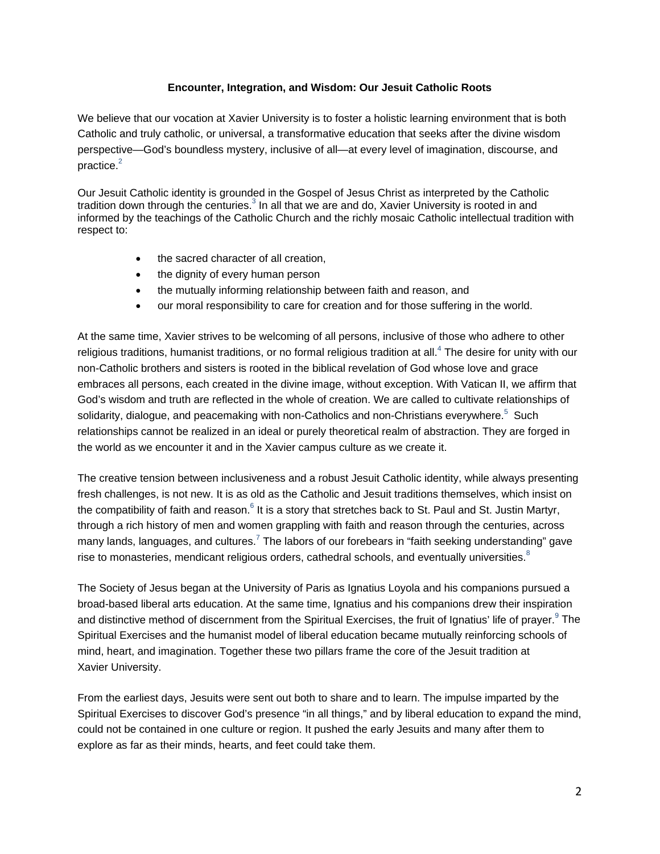# **Encounter, Integration, and Wisdom: Our Jesuit Catholic Roots**

We believe that our vocation at Xavier University is to foster a holistic learning environment that is both Catholic and truly catholic, or universal, a transformative education that seeks after the divine wisdom perspective—God's boundless mystery, inclusive of all—at every level of imagination, discourse, and practice. $2$ 

Our Jesuit Catholic identity is grounded in the Gospel of Jesus Christ as interpreted by the Catholic tradition down through the centuries.<sup>3</sup> In all that we are and do, Xavier University is rooted in and informed by the teachings of the Catholic Church and the richly mosaic Catholic intellectual tradition with respect to:

- the sacred character of all creation,
- the dignity of every human person
- the mutually informing relationship between faith and reason, and
- our moral responsibility to care for creation and for those suffering in the world.

At the same time, Xavier strives to be welcoming of all persons, inclusive of those who adhere to other religious traditions, humanist traditions, or no formal religious tradition at all.<sup>4</sup> The desire for unity with our non-Catholic brothers and sisters is rooted in the biblical revelation of God whose love and grace embraces all persons, each created in the divine image, without exception. With Vatican II, we affirm that God's wisdom and truth are reflected in the whole of creation. We are called to cultivate relationships of solidarity, dialogue, and peacemaking with non-Catholics and non-Christians everywhere.<sup>5</sup> Such relationships cannot be realized in an ideal or purely theoretical realm of abstraction. They are forged in the world as we encounter it and in the Xavier campus culture as we create it.

The creative tension between inclusiveness and a robust Jesuit Catholic identity, while always presenting fresh challenges, is not new. It is as old as the Catholic and Jesuit traditions themselves, which insist on the compatibility of faith and reason.<sup>6</sup> It is a story that stretches back to St. Paul and St. Justin Martyr, through a rich history of men and women grappling with faith and reason through the centuries, across many lands, languages, and cultures.<sup>7</sup> The labors of our forebears in "faith seeking understanding" gave rise to monasteries, mendicant religious orders, cathedral schools, and eventually universities.<sup>8</sup>

The Society of Jesus began at the University of Paris as Ignatius Loyola and his companions pursued a broad-based liberal arts education. At the same time, Ignatius and his companions drew their inspiration and distinctive method of discernment from the Spiritual Exercises, the fruit of Ignatius' life of prayer.<sup>9</sup> The Spiritual Exercises and the humanist model of liberal education became mutually reinforcing schools of mind, heart, and imagination. Together these two pillars frame the core of the Jesuit tradition at Xavier University.

From the earliest days, Jesuits were sent out both to share and to learn. The impulse imparted by the Spiritual Exercises to discover God's presence "in all things," and by liberal education to expand the mind, could not be contained in one culture or region. It pushed the early Jesuits and many after them to explore as far as their minds, hearts, and feet could take them.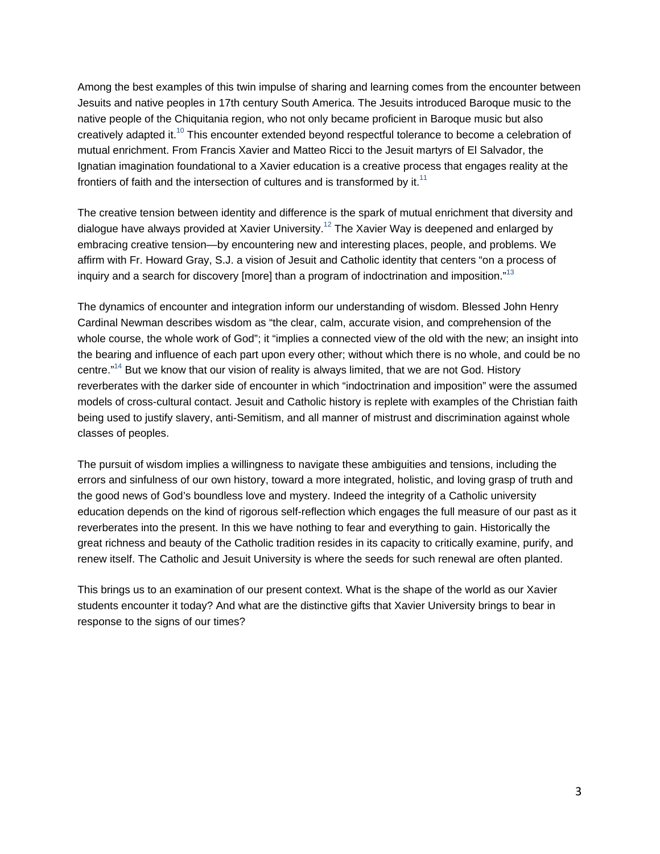Among the best examples of this twin impulse of sharing and learning comes from the encounter between Jesuits and native peoples in 17th century South America. The Jesuits introduced Baroque music to the native people of the Chiquitania region, who not only became proficient in Baroque music but also creatively adapted it.<sup>10</sup> This encounter extended beyond respectful tolerance to become a celebration of mutual enrichment. From Francis Xavier and Matteo Ricci to the Jesuit martyrs of El Salvador, the Ignatian imagination foundational to a Xavier education is a creative process that engages reality at the frontiers of faith and the intersection of cultures and is transformed by it. $11$ 

The creative tension between identity and difference is the spark of mutual enrichment that diversity and dialogue have always provided at Xavier University.<sup>12</sup> The Xavier Way is deepened and enlarged by embracing creative tension—by encountering new and interesting places, people, and problems. We affirm with Fr. Howard Gray, S.J. a vision of Jesuit and Catholic identity that centers "on a process of inquiry and a search for discovery [more] than a program of indoctrination and imposition. $^{13}$ 

The dynamics of encounter and integration inform our understanding of wisdom. Blessed John Henry Cardinal Newman describes wisdom as "the clear, calm, accurate vision, and comprehension of the whole course, the whole work of God"; it "implies a connected view of the old with the new; an insight into the bearing and influence of each part upon every other; without which there is no whole, and could be no centre."<sup>14</sup> But we know that our vision of reality is always limited, that we are not God. History reverberates with the darker side of encounter in which "indoctrination and imposition" were the assumed models of cross-cultural contact. Jesuit and Catholic history is replete with examples of the Christian faith being used to justify slavery, anti-Semitism, and all manner of mistrust and discrimination against whole classes of peoples.

The pursuit of wisdom implies a willingness to navigate these ambiguities and tensions, including the errors and sinfulness of our own history, toward a more integrated, holistic, and loving grasp of truth and the good news of God's boundless love and mystery. Indeed the integrity of a Catholic university education depends on the kind of rigorous self-reflection which engages the full measure of our past as it reverberates into the present. In this we have nothing to fear and everything to gain. Historically the great richness and beauty of the Catholic tradition resides in its capacity to critically examine, purify, and renew itself. The Catholic and Jesuit University is where the seeds for such renewal are often planted.

This brings us to an examination of our present context. What is the shape of the world as our Xavier students encounter it today? And what are the distinctive gifts that Xavier University brings to bear in response to the signs of our times?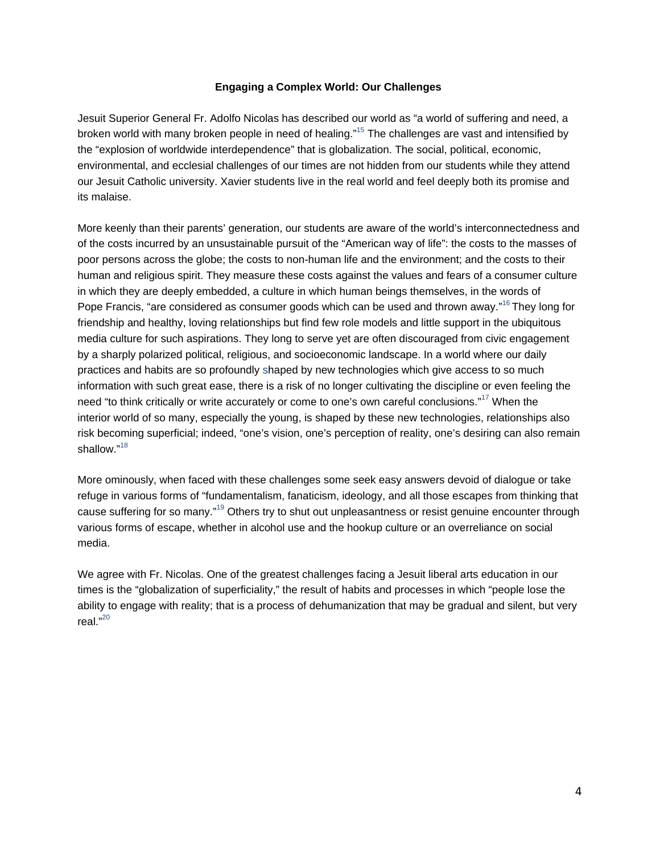# **Engaging a Complex World: Our Challenges**

Jesuit Superior General Fr. Adolfo Nicolas has described our world as "a world of suffering and need, a broken world with many broken people in need of healing."<sup>15</sup> The challenges are vast and intensified by the "explosion of worldwide interdependence" that is globalization. The social, political, economic, environmental, and ecclesial challenges of our times are not hidden from our students while they attend our Jesuit Catholic university. Xavier students live in the real world and feel deeply both its promise and its malaise.

More keenly than their parents' generation, our students are aware of the world's interconnectedness and of the costs incurred by an unsustainable pursuit of the "American way of life": the costs to the masses of poor persons across the globe; the costs to non-human life and the environment; and the costs to their human and religious spirit. They measure these costs against the values and fears of a consumer culture in which they are deeply embedded, a culture in which human beings themselves, in the words of Pope Francis, "are considered as consumer goods which can be used and thrown away."<sup>16</sup> They long for friendship and healthy, loving relationships but find few role models and little support in the ubiquitous media culture for such aspirations. They long to serve yet are often discouraged from civic engagement by a sharply polarized political, religious, and socioeconomic landscape. In a world where our daily practices and habits are so profoundly shaped by new technologies which give access to so much information with such great ease, there is a risk of no longer cultivating the discipline or even feeling the need "to think critically or write accurately or come to one's own careful conclusions."<sup>17</sup> When the interior world of so many, especially the young, is shaped by these new technologies, relationships also risk becoming superficial; indeed, "one's vision, one's perception of reality, one's desiring can also remain shallow."<sup>18</sup>

More ominously, when faced with these challenges some seek easy answers devoid of dialogue or take refuge in various forms of "fundamentalism, fanaticism, ideology, and all those escapes from thinking that cause suffering for so many."19 Others try to shut out unpleasantness or resist genuine encounter through various forms of escape, whether in alcohol use and the hookup culture or an overreliance on social media.

We agree with Fr. Nicolas. One of the greatest challenges facing a Jesuit liberal arts education in our times is the "globalization of superficiality," the result of habits and processes in which "people lose the ability to engage with reality; that is a process of dehumanization that may be gradual and silent, but very real."<sup>20</sup>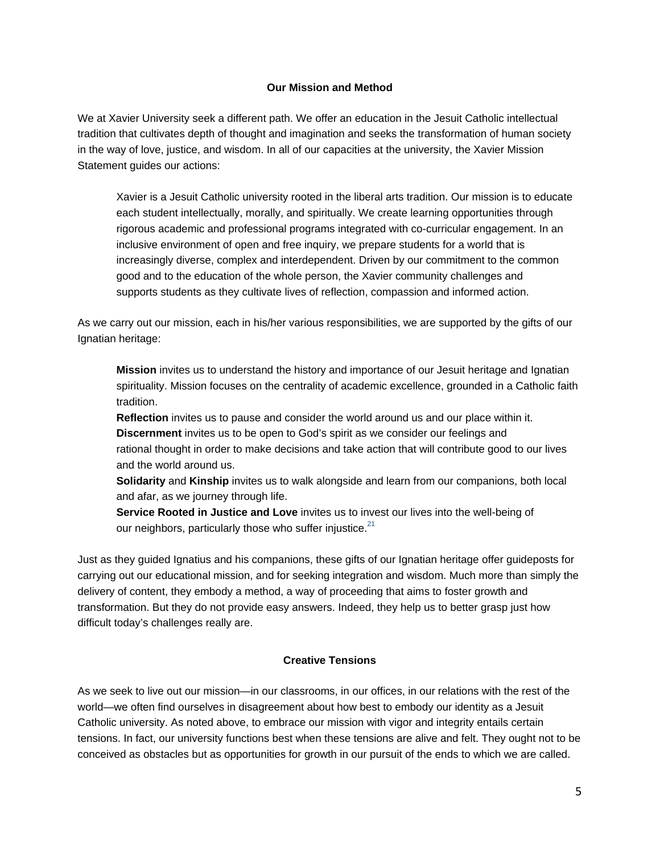# **Our Mission and Method**

We at Xavier University seek a different path. We offer an education in the Jesuit Catholic intellectual tradition that cultivates depth of thought and imagination and seeks the transformation of human society in the way of love, justice, and wisdom. In all of our capacities at the university, the Xavier Mission Statement guides our actions:

Xavier is a Jesuit Catholic university rooted in the liberal arts tradition. Our mission is to educate each student intellectually, morally, and spiritually. We create learning opportunities through rigorous academic and professional programs integrated with co-curricular engagement. In an inclusive environment of open and free inquiry, we prepare students for a world that is increasingly diverse, complex and interdependent. Driven by our commitment to the common good and to the education of the whole person, the Xavier community challenges and supports students as they cultivate lives of reflection, compassion and informed action.

As we carry out our mission, each in his/her various responsibilities, we are supported by the gifts of our Ignatian heritage:

**Mission** invites us to understand the history and importance of our Jesuit heritage and Ignatian spirituality. Mission focuses on the centrality of academic excellence, grounded in a Catholic faith tradition.

**Reflection** invites us to pause and consider the world around us and our place within it.

**Discernment** invites us to be open to God's spirit as we consider our feelings and rational thought in order to make decisions and take action that will contribute good to our lives and the world around us.

**Solidarity** and **Kinship** invites us to walk alongside and learn from our companions, both local and afar, as we journey through life.

**Service Rooted in Justice and Love** invites us to invest our lives into the well-being of our neighbors, particularly those who suffer injustice. $21$ 

Just as they guided Ignatius and his companions, these gifts of our Ignatian heritage offer guideposts for carrying out our educational mission, and for seeking integration and wisdom. Much more than simply the delivery of content, they embody a method, a way of proceeding that aims to foster growth and transformation. But they do not provide easy answers. Indeed, they help us to better grasp just how difficult today's challenges really are.

## **Creative Tensions**

As we seek to live out our mission—in our classrooms, in our offices, in our relations with the rest of the world—we often find ourselves in disagreement about how best to embody our identity as a Jesuit Catholic university. As noted above, to embrace our mission with vigor and integrity entails certain tensions. In fact, our university functions best when these tensions are alive and felt. They ought not to be conceived as obstacles but as opportunities for growth in our pursuit of the ends to which we are called.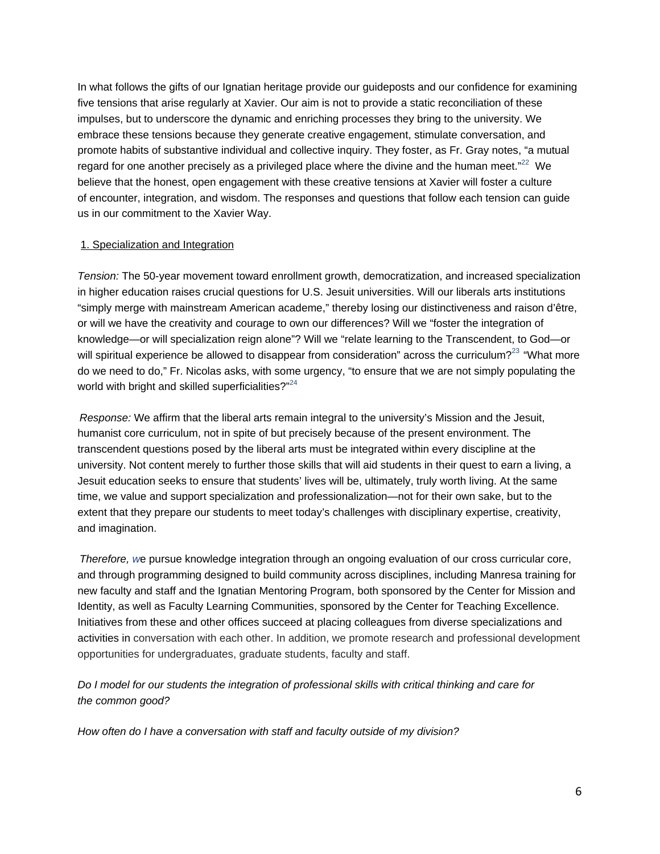In what follows the gifts of our Ignatian heritage provide our guideposts and our confidence for examining five tensions that arise regularly at Xavier. Our aim is not to provide a static reconciliation of these impulses, but to underscore the dynamic and enriching processes they bring to the university. We embrace these tensions because they generate creative engagement, stimulate conversation, and promote habits of substantive individual and collective inquiry. They foster, as Fr. Gray notes, "a mutual regard for one another precisely as a privileged place where the divine and the human meet." $^{22}$  We believe that the honest, open engagement with these creative tensions at Xavier will foster a culture of encounter, integration, and wisdom. The responses and questions that follow each tension can guide us in our commitment to the Xavier Way.

## 1. Specialization and Integration

*Tension:* The 50-year movement toward enrollment growth, democratization, and increased specialization in higher education raises crucial questions for U.S. Jesuit universities. Will our liberals arts institutions "simply merge with mainstream American academe," thereby losing our distinctiveness and raison d'être, or will we have the creativity and courage to own our differences? Will we "foster the integration of knowledge—or will specialization reign alone"? Will we "relate learning to the Transcendent, to God—or will spiritual experience be allowed to disappear from consideration" across the curriculum?<sup>23</sup> "What more" do we need to do," Fr. Nicolas asks, with some urgency, "to ensure that we are not simply populating the world with bright and skilled superficialities?"<sup>24</sup>

*Response:* We affirm that the liberal arts remain integral to the university's Mission and the Jesuit, humanist core curriculum, not in spite of but precisely because of the present environment. The transcendent questions posed by the liberal arts must be integrated within every discipline at the university. Not content merely to further those skills that will aid students in their quest to earn a living, a Jesuit education seeks to ensure that students' lives will be, ultimately, truly worth living. At the same time, we value and support specialization and professionalization—not for their own sake, but to the extent that they prepare our students to meet today's challenges with disciplinary expertise, creativity, and imagination.

*Therefore, w*e pursue knowledge integration through an ongoing evaluation of our cross curricular core, and through programming designed to build community across disciplines, including Manresa training for new faculty and staff and the Ignatian Mentoring Program, both sponsored by the Center for Mission and Identity, as well as Faculty Learning Communities, sponsored by the Center for Teaching Excellence. Initiatives from these and other offices succeed at placing colleagues from diverse specializations and activities in conversation with each other. In addition, we promote research and professional development opportunities for undergraduates, graduate students, faculty and staff.

*Do I model for our students the integration of professional skills with critical thinking and care for the common good?*

*How often do I have a conversation with staff and faculty outside of my division?*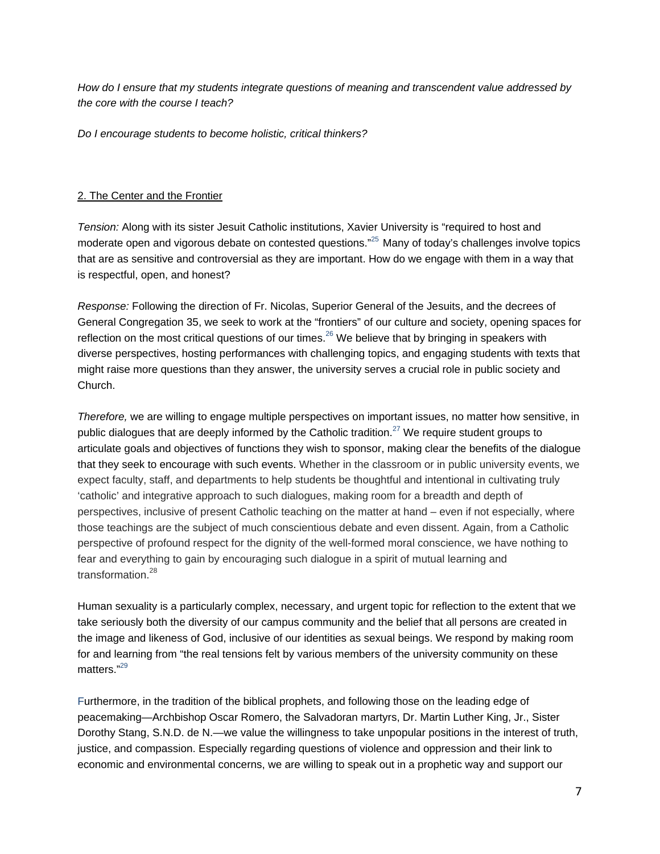*How do I ensure that my students integrate questions of meaning and transcendent value addressed by the core with the course I teach?*

*Do I encourage students to become holistic, critical thinkers?*

## 2. The Center and the Frontier

*Tension:* Along with its sister Jesuit Catholic institutions, Xavier University is "required to host and moderate open and vigorous debate on contested questions."<sup>25</sup> Many of today's challenges involve topics that are as sensitive and controversial as they are important. How do we engage with them in a way that is respectful, open, and honest?

*Response:* Following the direction of Fr. Nicolas, Superior General of the Jesuits, and the decrees of General Congregation 35, we seek to work at the "frontiers" of our culture and society, opening spaces for reflection on the most critical questions of our times.<sup>26</sup> We believe that by bringing in speakers with diverse perspectives, hosting performances with challenging topics, and engaging students with texts that might raise more questions than they answer, the university serves a crucial role in public society and Church.

*Therefore,* we are willing to engage multiple perspectives on important issues, no matter how sensitive, in public dialogues that are deeply informed by the Catholic tradition.<sup>27</sup> We require student groups to articulate goals and objectives of functions they wish to sponsor, making clear the benefits of the dialogue that they seek to encourage with such events. Whether in the classroom or in public university events, we expect faculty, staff, and departments to help students be thoughtful and intentional in cultivating truly 'catholic' and integrative approach to such dialogues, making room for a breadth and depth of perspectives, inclusive of present Catholic teaching on the matter at hand – even if not especially, where those teachings are the subject of much conscientious debate and even dissent. Again, from a Catholic perspective of profound respect for the dignity of the well-formed moral conscience, we have nothing to fear and everything to gain by encouraging such dialogue in a spirit of mutual learning and transformation.<sup>28</sup>

Human sexuality is a particularly complex, necessary, and urgent topic for reflection to the extent that we take seriously both the diversity of our campus community and the belief that all persons are created in the image and likeness of God, inclusive of our identities as sexual beings. We respond by making room for and learning from "the real tensions felt by various members of the university community on these matters."<sup>29</sup>

Furthermore, in the tradition of the biblical prophets, and following those on the leading edge of peacemaking—Archbishop Oscar Romero, the Salvadoran martyrs, Dr. Martin Luther King, Jr., Sister Dorothy Stang, S.N.D. de N.—we value the willingness to take unpopular positions in the interest of truth, justice, and compassion. Especially regarding questions of violence and oppression and their link to economic and environmental concerns, we are willing to speak out in a prophetic way and support our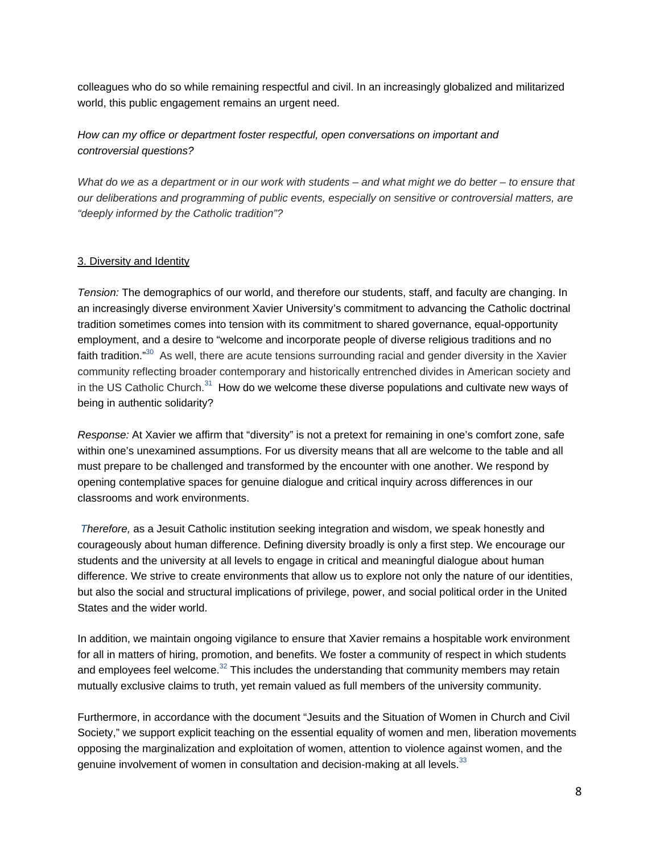colleagues who do so while remaining respectful and civil. In an increasingly globalized and militarized world, this public engagement remains an urgent need.

*How can my office or department foster respectful, open conversations on important and controversial questions?* 

*What do we as a department or in our work with students – and what might we do better – to ensure that our deliberations and programming of public events, especially on sensitive or controversial matters, are "deeply informed by the Catholic tradition"?* 

# 3. Diversity and Identity

*Tension:* The demographics of our world, and therefore our students, staff, and faculty are changing. In an increasingly diverse environment Xavier University's commitment to advancing the Catholic doctrinal tradition sometimes comes into tension with its commitment to shared governance, equal-opportunity employment, and a desire to "welcome and incorporate people of diverse religious traditions and no faith tradition."<sup>30</sup> As well, there are acute tensions surrounding racial and gender diversity in the Xavier community reflecting broader contemporary and historically entrenched divides in American society and in the US Catholic Church. $31$  How do we welcome these diverse populations and cultivate new ways of being in authentic solidarity?

*Response:* At Xavier we affirm that "diversity" is not a pretext for remaining in one's comfort zone, safe within one's unexamined assumptions. For us diversity means that all are welcome to the table and all must prepare to be challenged and transformed by the encounter with one another. We respond by opening contemplative spaces for genuine dialogue and critical inquiry across differences in our classrooms and work environments.

*Therefore,* as a Jesuit Catholic institution seeking integration and wisdom, we speak honestly and courageously about human difference. Defining diversity broadly is only a first step. We encourage our students and the university at all levels to engage in critical and meaningful dialogue about human difference. We strive to create environments that allow us to explore not only the nature of our identities, but also the social and structural implications of privilege, power, and social political order in the United States and the wider world.

In addition, we maintain ongoing vigilance to ensure that Xavier remains a hospitable work environment for all in matters of hiring, promotion, and benefits. We foster a community of respect in which students and employees feel welcome. $32$  This includes the understanding that community members may retain mutually exclusive claims to truth, yet remain valued as full members of the university community.

Furthermore, in accordance with the document "Jesuits and the Situation of Women in Church and Civil Society," we support explicit teaching on the essential equality of women and men, liberation movements opposing the marginalization and exploitation of women, attention to violence against women, and the genuine involvement of women in consultation and decision-making at all levels.<sup>33</sup>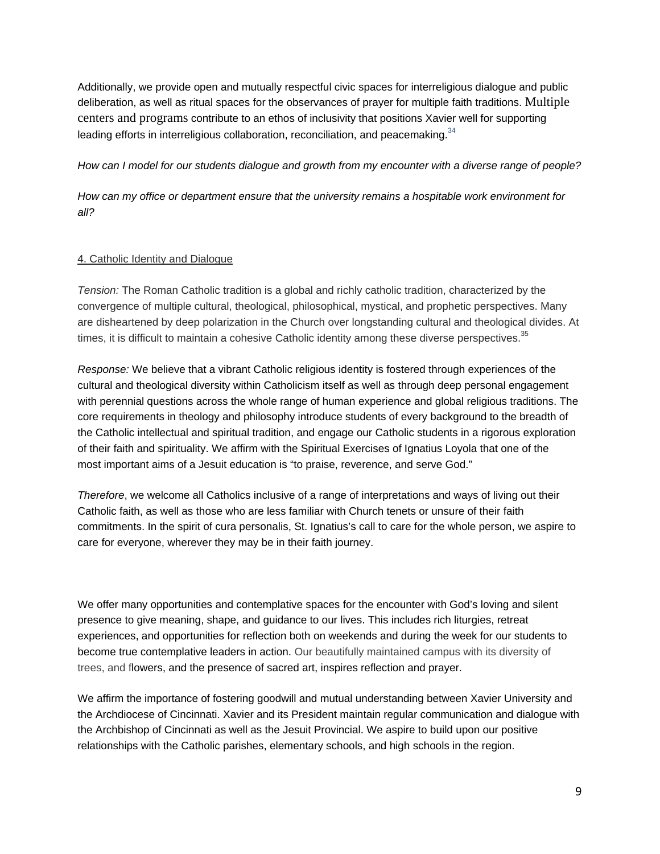Additionally, we provide open and mutually respectful civic spaces for interreligious dialogue and public deliberation, as well as ritual spaces for the observances of prayer for multiple faith traditions. Multiple centers and programs contribute to an ethos of inclusivity that positions Xavier well for supporting leading efforts in interreligious collaboration, reconciliation, and peacemaking.  $34$ 

#### *How can I model for our students dialogue and growth from my encounter with a diverse range of people?*

*How can my office or department ensure that the university remains a hospitable work environment for all?*

## 4. Catholic Identity and Dialogue

*Tension:* The Roman Catholic tradition is a global and richly catholic tradition, characterized by the convergence of multiple cultural, theological, philosophical, mystical, and prophetic perspectives. Many are disheartened by deep polarization in the Church over longstanding cultural and theological divides. At times, it is difficult to maintain a cohesive Catholic identity among these diverse perspectives.<sup>35</sup>

*Response:* We believe that a vibrant Catholic religious identity is fostered through experiences of the cultural and theological diversity within Catholicism itself as well as through deep personal engagement with perennial questions across the whole range of human experience and global religious traditions. The core requirements in theology and philosophy introduce students of every background to the breadth of the Catholic intellectual and spiritual tradition, and engage our Catholic students in a rigorous exploration of their faith and spirituality. We affirm with the Spiritual Exercises of Ignatius Loyola that one of the most important aims of a Jesuit education is "to praise, reverence, and serve God."

*Therefore*, we welcome all Catholics inclusive of a range of interpretations and ways of living out their Catholic faith, as well as those who are less familiar with Church tenets or unsure of their faith commitments. In the spirit of cura personalis, St. Ignatius's call to care for the whole person, we aspire to care for everyone, wherever they may be in their faith journey.

We offer many opportunities and contemplative spaces for the encounter with God's loving and silent presence to give meaning, shape, and guidance to our lives. This includes rich liturgies, retreat experiences, and opportunities for reflection both on weekends and during the week for our students to become true contemplative leaders in action. Our beautifully maintained campus with its diversity of trees, and flowers, and the presence of sacred art, inspires reflection and prayer.

We affirm the importance of fostering goodwill and mutual understanding between Xavier University and the Archdiocese of Cincinnati. Xavier and its President maintain regular communication and dialogue with the Archbishop of Cincinnati as well as the Jesuit Provincial. We aspire to build upon our positive relationships with the Catholic parishes, elementary schools, and high schools in the region.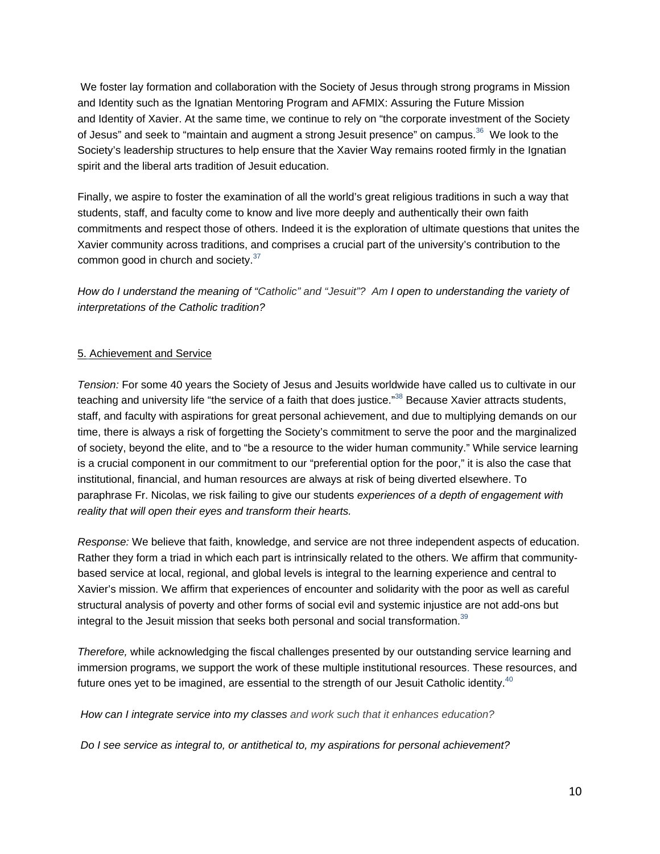We foster lay formation and collaboration with the Society of Jesus through strong programs in Mission and Identity such as the Ignatian Mentoring Program and AFMIX: Assuring the Future Mission and Identity of Xavier. At the same time, we continue to rely on "the corporate investment of the Society of Jesus" and seek to "maintain and augment a strong Jesuit presence" on campus.<sup>36</sup> We look to the Society's leadership structures to help ensure that the Xavier Way remains rooted firmly in the Ignatian spirit and the liberal arts tradition of Jesuit education.

Finally, we aspire to foster the examination of all the world's great religious traditions in such a way that students, staff, and faculty come to know and live more deeply and authentically their own faith commitments and respect those of others. Indeed it is the exploration of ultimate questions that unites the Xavier community across traditions, and comprises a crucial part of the university's contribution to the common good in church and society.<sup>37</sup>

*How do I understand the meaning of "Catholic" and "Jesuit"? Am I open to understanding the variety of interpretations of the Catholic tradition?*

# 5. Achievement and Service

*Tension:* For some 40 years the Society of Jesus and Jesuits worldwide have called us to cultivate in our teaching and university life "the service of a faith that does justice."<sup>38</sup> Because Xavier attracts students, staff, and faculty with aspirations for great personal achievement, and due to multiplying demands on our time, there is always a risk of forgetting the Society's commitment to serve the poor and the marginalized of society, beyond the elite, and to "be a resource to the wider human community." While service learning is a crucial component in our commitment to our "preferential option for the poor," it is also the case that institutional, financial, and human resources are always at risk of being diverted elsewhere. To paraphrase Fr. Nicolas, we risk failing to give our students *experiences of a depth of engagement with reality that will open their eyes and transform their hearts.*

*Response:* We believe that faith, knowledge, and service are not three independent aspects of education. Rather they form a triad in which each part is intrinsically related to the others. We affirm that communitybased service at local, regional, and global levels is integral to the learning experience and central to Xavier's mission. We affirm that experiences of encounter and solidarity with the poor as well as careful structural analysis of poverty and other forms of social evil and systemic injustice are not add-ons but integral to the Jesuit mission that seeks both personal and social transformation.<sup>39</sup>

*Therefore,* while acknowledging the fiscal challenges presented by our outstanding service learning and immersion programs, we support the work of these multiple institutional resources. These resources, and future ones yet to be imagined, are essential to the strength of our Jesuit Catholic identity. $40$ 

*How can I integrate service into my classes and work such that it enhances education?*

*Do I see service as integral to, or antithetical to, my aspirations for personal achievement?*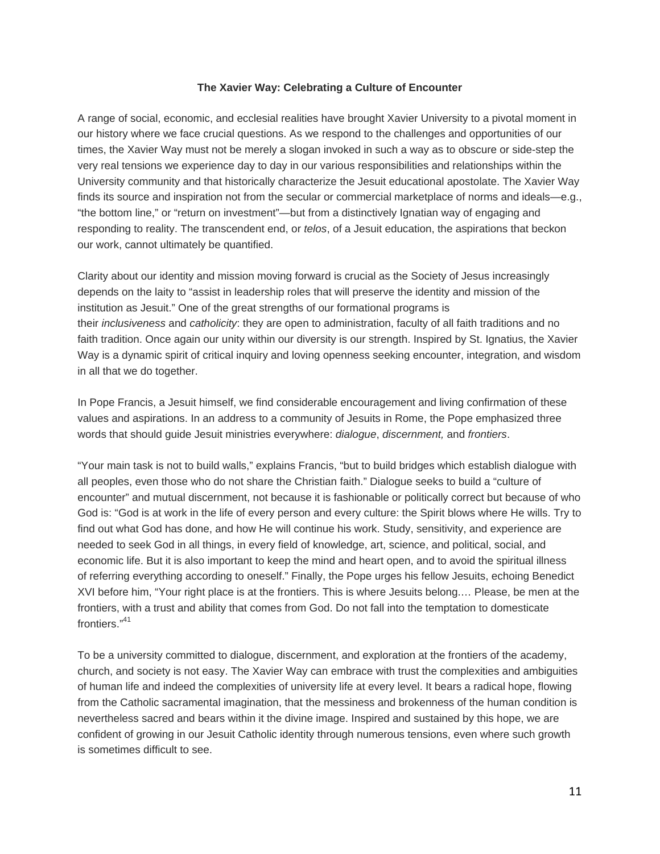## **The Xavier Way: Celebrating a Culture of Encounter**

A range of social, economic, and ecclesial realities have brought Xavier University to a pivotal moment in our history where we face crucial questions. As we respond to the challenges and opportunities of our times, the Xavier Way must not be merely a slogan invoked in such a way as to obscure or side-step the very real tensions we experience day to day in our various responsibilities and relationships within the University community and that historically characterize the Jesuit educational apostolate. The Xavier Way finds its source and inspiration not from the secular or commercial marketplace of norms and ideals—e.g., "the bottom line," or "return on investment"—but from a distinctively Ignatian way of engaging and responding to reality. The transcendent end, or *telos*, of a Jesuit education, the aspirations that beckon our work, cannot ultimately be quantified.

Clarity about our identity and mission moving forward is crucial as the Society of Jesus increasingly depends on the laity to "assist in leadership roles that will preserve the identity and mission of the institution as Jesuit." One of the great strengths of our formational programs is their *inclusiveness* and *catholicity*: they are open to administration, faculty of all faith traditions and no faith tradition. Once again our unity within our diversity is our strength. Inspired by St. Ignatius, the Xavier Way is a dynamic spirit of critical inquiry and loving openness seeking encounter, integration, and wisdom in all that we do together.

In Pope Francis, a Jesuit himself, we find considerable encouragement and living confirmation of these values and aspirations. In an address to a community of Jesuits in Rome, the Pope emphasized three words that should guide Jesuit ministries everywhere: *dialogue*, *discernment,* and *frontiers*.

"Your main task is not to build walls," explains Francis, "but to build bridges which establish dialogue with all peoples, even those who do not share the Christian faith." Dialogue seeks to build a "culture of encounter" and mutual discernment, not because it is fashionable or politically correct but because of who God is: "God is at work in the life of every person and every culture: the Spirit blows where He wills. Try to find out what God has done, and how He will continue his work. Study, sensitivity, and experience are needed to seek God in all things, in every field of knowledge, art, science, and political, social, and economic life. But it is also important to keep the mind and heart open, and to avoid the spiritual illness of referring everything according to oneself." Finally, the Pope urges his fellow Jesuits, echoing Benedict XVI before him, "Your right place is at the frontiers. This is where Jesuits belong.… Please, be men at the frontiers, with a trust and ability that comes from God. Do not fall into the temptation to domesticate frontiers."<sup>41</sup>

To be a university committed to dialogue, discernment, and exploration at the frontiers of the academy, church, and society is not easy. The Xavier Way can embrace with trust the complexities and ambiguities of human life and indeed the complexities of university life at every level. It bears a radical hope, flowing from the Catholic sacramental imagination, that the messiness and brokenness of the human condition is nevertheless sacred and bears within it the divine image. Inspired and sustained by this hope, we are confident of growing in our Jesuit Catholic identity through numerous tensions, even where such growth is sometimes difficult to see.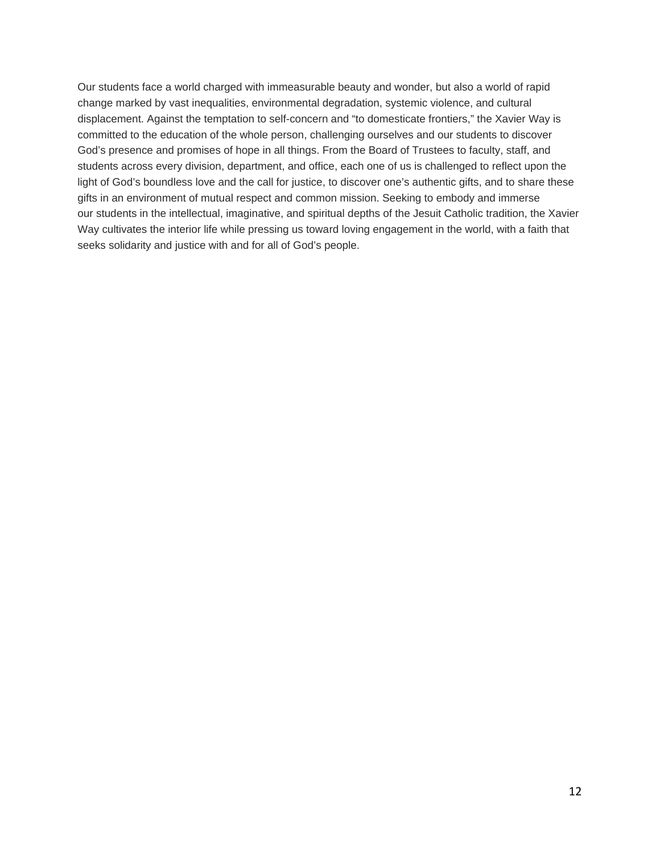Our students face a world charged with immeasurable beauty and wonder, but also a world of rapid change marked by vast inequalities, environmental degradation, systemic violence, and cultural displacement. Against the temptation to self-concern and "to domesticate frontiers," the Xavier Way is committed to the education of the whole person, challenging ourselves and our students to discover God's presence and promises of hope in all things. From the Board of Trustees to faculty, staff, and students across every division, department, and office, each one of us is challenged to reflect upon the light of God's boundless love and the call for justice, to discover one's authentic gifts, and to share these gifts in an environment of mutual respect and common mission. Seeking to embody and immerse our students in the intellectual, imaginative, and spiritual depths of the Jesuit Catholic tradition, the Xavier Way cultivates the interior life while pressing us toward loving engagement in the world, with a faith that seeks solidarity and justice with and for all of God's people.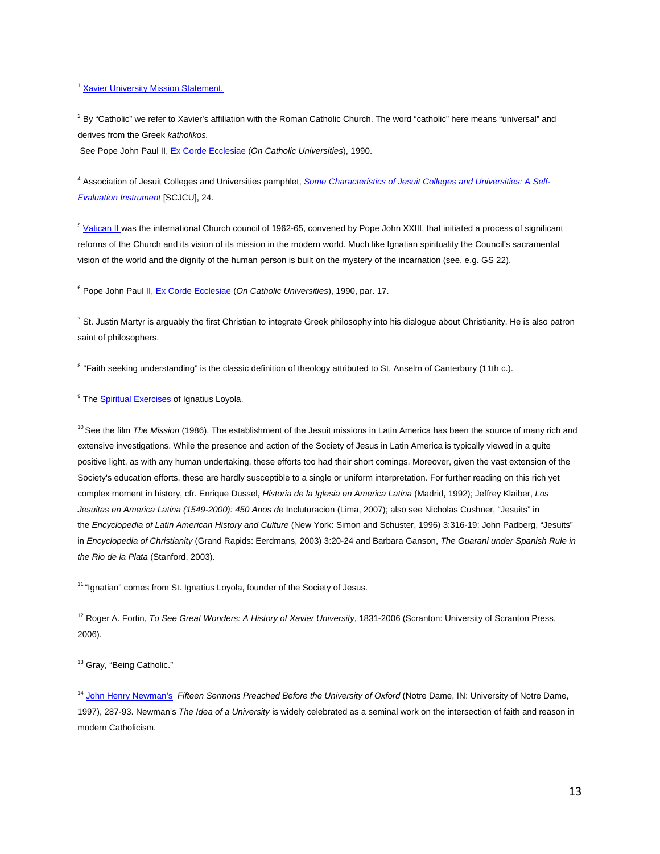#### <sup>1</sup> Xavier University Mission Statement.

 $^2$  By "Catholic" we refer to Xavier's affiliation with the Roman Catholic Church. The word "catholic" here means "universal" and derives from the Greek *katholikos.* 

See Pope John Paul II, Ex Corde Ecclesiae (*On Catholic Universities*), 1990.

<sup>4</sup> Association of Jesuit Colleges and Universities pamphlet, *Some Characteristics of Jesuit Colleges and Universities: A Self-Evaluation Instrument* [SCJCU], 24.

<sup>5</sup> Vatican II was the international Church council of 1962-65, convened by Pope John XXIII, that initiated a process of significant reforms of the Church and its vision of its mission in the modern world. Much like Ignatian spirituality the Council's sacramental vision of the world and the dignity of the human person is built on the mystery of the incarnation (see, e.g. GS 22).

<sup>6</sup> Pope John Paul II, Ex Corde Ecclesiae (On Catholic Universities), 1990, par. 17.

 $^7$  St. Justin Martyr is arguably the first Christian to integrate Greek philosophy into his dialogue about Christianity. He is also patron saint of philosophers.

<sup>8</sup> "Faith seeking understanding" is the classic definition of theology attributed to St. Anselm of Canterbury (11th c.).

<sup>9</sup> The **Spiritual Exercises of Ignatius Loyola**.

10 See the film *The Mission* (1986). The establishment of the Jesuit missions in Latin America has been the source of many rich and extensive investigations. While the presence and action of the Society of Jesus in Latin America is typically viewed in a quite positive light, as with any human undertaking, these efforts too had their short comings. Moreover, given the vast extension of the Society's education efforts, these are hardly susceptible to a single or uniform interpretation. For further reading on this rich yet complex moment in history, cfr. Enrique Dussel, *Historia de la Iglesia en America Latina* (Madrid, 1992); Jeffrey Klaiber, *Los Jesuitas en America Latina (1549-2000): 450 Anos de* Incluturacion (Lima, 2007); also see Nicholas Cushner, "Jesuits" in the *Encyclopedia of Latin American History and Culture* (New York: Simon and Schuster, 1996) 3:316-19; John Padberg, "Jesuits" in *Encyclopedia of Christianity* (Grand Rapids: Eerdmans, 2003) 3:20-24 and Barbara Ganson, *The Guarani under Spanish Rule in the Rio de la Plata* (Stanford, 2003).

<sup>11</sup> "Ignatian" comes from St. Ignatius Loyola, founder of the Society of Jesus.

12 Roger A. Fortin, *To See Great Wonders: A History of Xavier University*, 1831-2006 (Scranton: University of Scranton Press, 2006).

<sup>13</sup> Gray, "Being Catholic."

<sup>14</sup> John Henry Newman's *Fifteen Sermons Preached Before the University of Oxford* (Notre Dame, IN: University of Notre Dame, 1997), 287-93. Newman's *The Idea of a University* is widely celebrated as a seminal work on the intersection of faith and reason in modern Catholicism.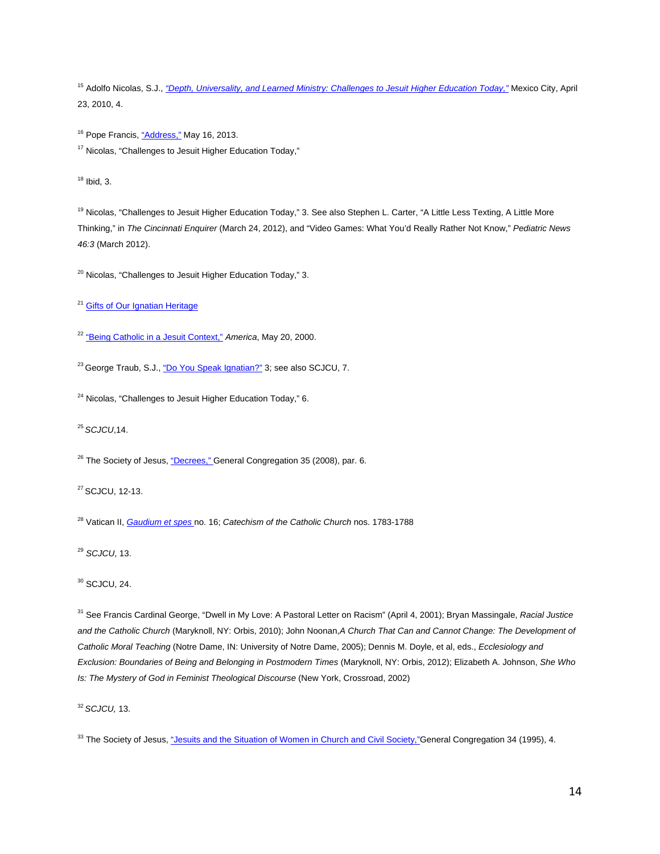15 Adolfo Nicolas, S.J., *"Depth, Universality, and Learned Ministry: Challenges to Jesuit Higher Education Today,"* Mexico City, April 23, 2010, 4.

<sup>16</sup> Pope Francis, "Address," May 16, 2013. <sup>17</sup> Nicolas, "Challenges to Jesuit Higher Education Today."

 $18$  Ibid, 3.

<sup>19</sup> Nicolas, "Challenges to Jesuit Higher Education Today," 3. See also Stephen L. Carter, "A Little Less Texting, A Little More Thinking," in *The Cincinnati Enquirer* (March 24, 2012), and "Video Games: What You'd Really Rather Not Know," *Pediatric News 46:3* (March 2012).

 $20$  Nicolas, "Challenges to Jesuit Higher Education Today," 3.

<sup>21</sup> Gifts of Our Ignatian Heritage

<sup>22</sup> "Being Catholic in a Jesuit Context," *America*, May 20, 2000.

<sup>23</sup> George Traub, S.J., "Do You Speak Ignatian?" 3; see also SCJCU, 7.

<sup>24</sup> Nicolas, "Challenges to Jesuit Higher Education Today," 6.

<sup>25</sup>*SCJCU*,14.

<sup>26</sup> The Society of Jesus, "Decrees," General Congregation 35 (2008), par. 6.

27 SCJCU, 12-13.

28 Vatican II, *Gaudium et spes* no. 16; *Catechism of the Catholic Church* nos. 1783-1788

<sup>29</sup> *SCJCU*, 13.

 $30$  SCJCU, 24.

31 See Francis Cardinal George, "Dwell in My Love: A Pastoral Letter on Racism" (April 4, 2001); Bryan Massingale, *Racial Justice and the Catholic Church* (Maryknoll, NY: Orbis, 2010); John Noonan,*A Church That Can and Cannot Change: The Development of Catholic Moral Teaching* (Notre Dame, IN: University of Notre Dame, 2005); Dennis M. Doyle, et al, eds., *Ecclesiology and Exclusion: Boundaries of Being and Belonging in Postmodern Times* (Maryknoll, NY: Orbis, 2012); Elizabeth A. Johnson, *She Who Is: The Mystery of God in Feminist Theological Discourse* (New York, Crossroad, 2002)

<sup>32</sup>*SCJCU,* 13.

<sup>33</sup> The Society of Jesus, "Jesuits and the Situation of Women in Church and Civil Society,"General Congregation 34 (1995), 4.